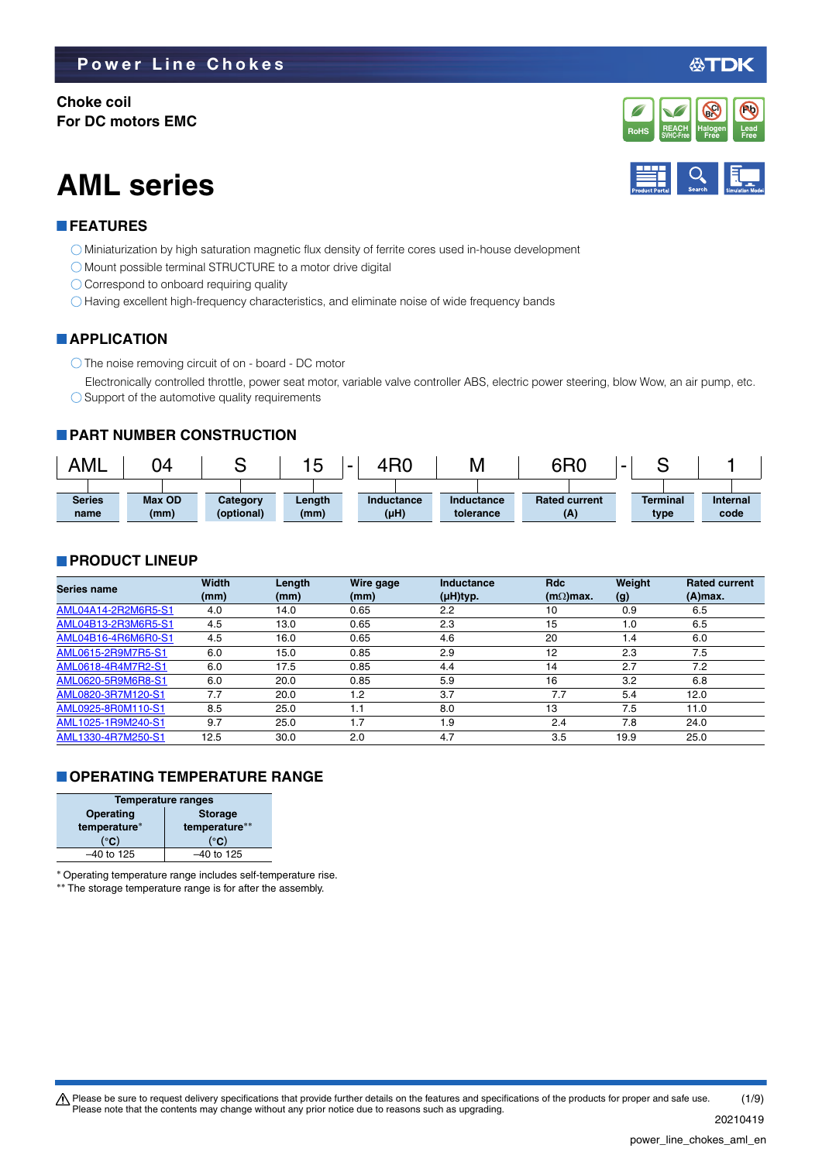## **Power Line Chokes**

**Choke coil For DC motors EMC**

# **AML series**

### **FEATURES**

- Miniaturization by high saturation magnetic flux density of ferrite cores used in-house development
- Mount possible terminal STRUCTURE to a motor drive digital
- O Correspond to onboard requiring quality
- $\bigcirc$  Having excellent high-frequency characteristics, and eliminate noise of wide frequency bands

### **APPLICATION**

The noise removing circuit of on - board - DC motor

 Electronically controlled throttle, power seat motor, variable valve controller ABS, electric power steering, blow Wow, an air pump, etc.  $\bigcirc$  Support of the automotive quality requirements

### **PART NUMBER CONSTRUCTION**



### **PRODUCT LINEUP**

| Series name         | Width | Length | Wire gage | Inductance | <b>Rdc</b>       | Weight | <b>Rated current</b> |
|---------------------|-------|--------|-----------|------------|------------------|--------|----------------------|
|                     | (mm)  | (mm)   | (mm)      | (µH)typ.   | $(m\Omega)$ max. | (g)    | $(A)$ max.           |
| AML04A14-2R2M6R5-S1 | 4.0   | 14.0   | 0.65      | 2.2        | 10               | 0.9    | 6.5                  |
| AML04B13-2R3M6R5-S1 | 4.5   | 13.0   | 0.65      | 2.3        | 15               | 1.0    | 6.5                  |
| AML04B16-4R6M6R0-S1 | 4.5   | 16.0   | 0.65      | 4.6        | 20               | 1.4    | 6.0                  |
| AML0615-2R9M7R5-S1  | 6.0   | 15.0   | 0.85      | 2.9        | 12               | 2.3    | 7.5                  |
| AML0618-4R4M7R2-S1  | 6.0   | 17.5   | 0.85      | 4.4        | 14               | 2.7    | 7.2                  |
| AML0620-5R9M6R8-S1  | 6.0   | 20.0   | 0.85      | 5.9        | 16               | 3.2    | 6.8                  |
| AML0820-3R7M120-S1  | 7.7   | 20.0   | 1.2       | 3.7        | 7.7              | 5.4    | 12.0                 |
| AML0925-8R0M110-S1  | 8.5   | 25.0   | 1.1       | 8.0        | 13               | 7.5    | 11.0                 |
| AML1025-1R9M240-S1  | 9.7   | 25.0   | 1.7       | 1.9        | 2.4              | 7.8    | 24.0                 |
| AML1330-4R7M250-S1  | 12.5  | 30.0   | 2.0       | 4.7        | 3.5              | 19.9   | 25.0                 |

### **COPERATING TEMPERATURE RANGE**

| Temperature ranges                 |               |  |  |  |  |
|------------------------------------|---------------|--|--|--|--|
| <b>Operating</b><br><b>Storage</b> |               |  |  |  |  |
| temperature*                       | temperature** |  |  |  |  |
| (°C)                               | (°C)          |  |  |  |  |
| $-40$ to 125                       | $-40$ to 125  |  |  |  |  |

Operating temperature range includes self-temperature rise. \*\* The storage temperature range is for after the assembly.

t Please be sure to request delivery specifications that provide further details on the features and specifications of the products for proper and safe use. Please note that the contents may change without any prior notice due to reasons such as upgrading. 20210419

**REACH** Halogen Lead<br>SVHC-Free Free Free **RoHS** SVHC-Free **Free Free** 

**Halogen Free Br Cl**

**Pb**

**REACH**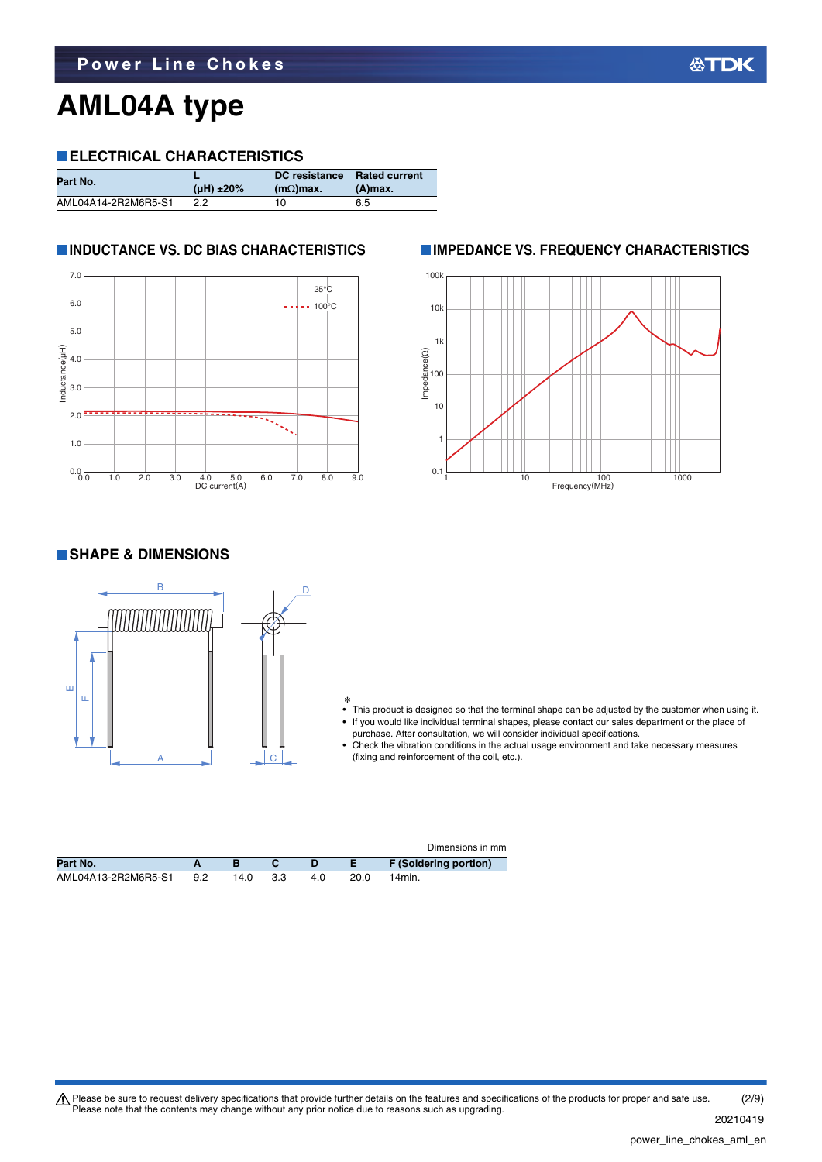## **AML04A type**

### **ELECTRICAL CHARACTERISTICS**

| Part No.            | ( $\mu$ H) ±20% | DC resistance<br>$(m\Omega)$ max. | <b>Rated current</b><br>$(A)$ max. |
|---------------------|-----------------|-----------------------------------|------------------------------------|
| AML04A14-2R2M6R5-S1 | 2.2             | 10                                | 6.5                                |



### **INDUCTANCE VS. DC BIAS CHARACTERISTICS IMPEDANCE VS. FREQUENCY CHARACTERISTICS**



### **SHAPE & DIMENSIONS**



- \* This product is designed so that the terminal shape can be adjusted by the customer when using it. • If you would like individual terminal shapes, please contact our sales department or the place of
- purchase. After consultation, we will consider individual specifications.
- Check the vibration conditions in the actual usage environment and take necessary measures (fixing and reinforcement of the coil, etc.).

|                     |    |      |     |     |      | Dimensions in mm      |
|---------------------|----|------|-----|-----|------|-----------------------|
| Part No.            |    |      |     |     |      | F (Soldering portion) |
| AML04A13-2R2M6R5-S1 | 92 | 14.0 | 3.3 | 4.0 | 20.0 | $14$ min.             |

Please be sure to request delivery specifications that provide further details on the features and specifications of the products for proper and safe use.<br>Please note that the contents may change without any prior notice d (2/9)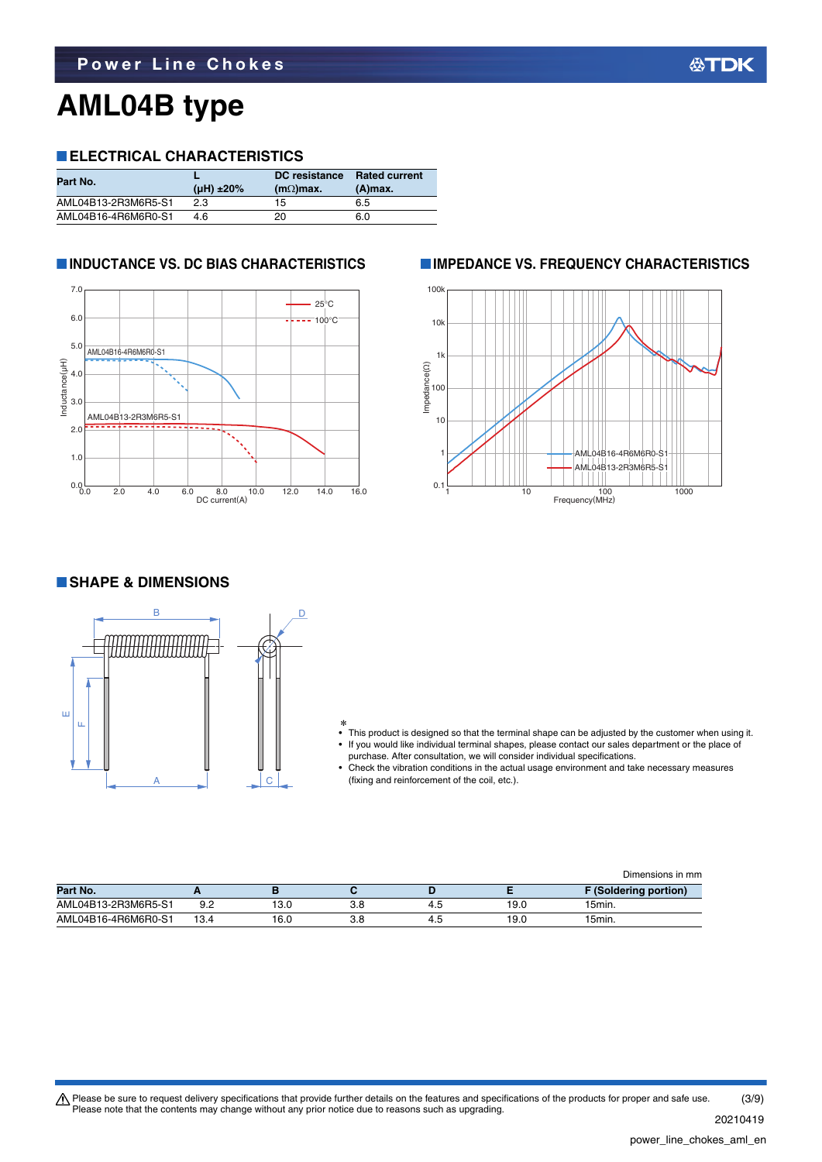# **AML04B type**

### **ELECTRICAL CHARACTERISTICS**

| Part No.            | ( $\mu$ H) $\pm 20\%$ | <b>DC</b> resistance<br>$(m\Omega)$ max. | <b>Rated current</b><br>$(A)$ max. |
|---------------------|-----------------------|------------------------------------------|------------------------------------|
| AML04B13-2R3M6R5-S1 | 2.3                   | 15                                       | 6.5                                |
| AML04B16-4R6M6R0-S1 | 46                    | 20                                       | 6.0                                |



### **INDUCTANCE VS. DC BIAS CHARACTERISTICS IMPEDANCE VS. FREQUENCY CHARACTERISTICS**



### **SHAPE & DIMENSIONS**



- \* This product is designed so that the terminal shape can be adjusted by the customer when using it. • If you would like individual terminal shapes, please contact our sales department or the place of purchase. After consultation, we will consider individual specifications.
- Check the vibration conditions in the actual usage environment and take necessary measures (fixing and reinforcement of the coil, etc.).

Dimensions in mm

| Part No.            |      |             |     |     |      | <b>F</b> (Soldering portion) |
|---------------------|------|-------------|-----|-----|------|------------------------------|
| AML04B13-2R3M6R5-S1 | ے. ت | 10 N<br>o.u | o.o | 4.0 | 19.0 | 15min.                       |
| AML04B16-4R6M6R0-S1 | 13.4 | 16.0        | ა.ი | 4.J | 19.0 | 15 <sub>min</sub>            |

 $\bigwedge$  Please be sure to request delivery specifications that provide further details on the features and specifications of the products for proper and safe use. Please note that the contents may change without any prior notice due to reasons such as upgrading. 20210419 (3/9)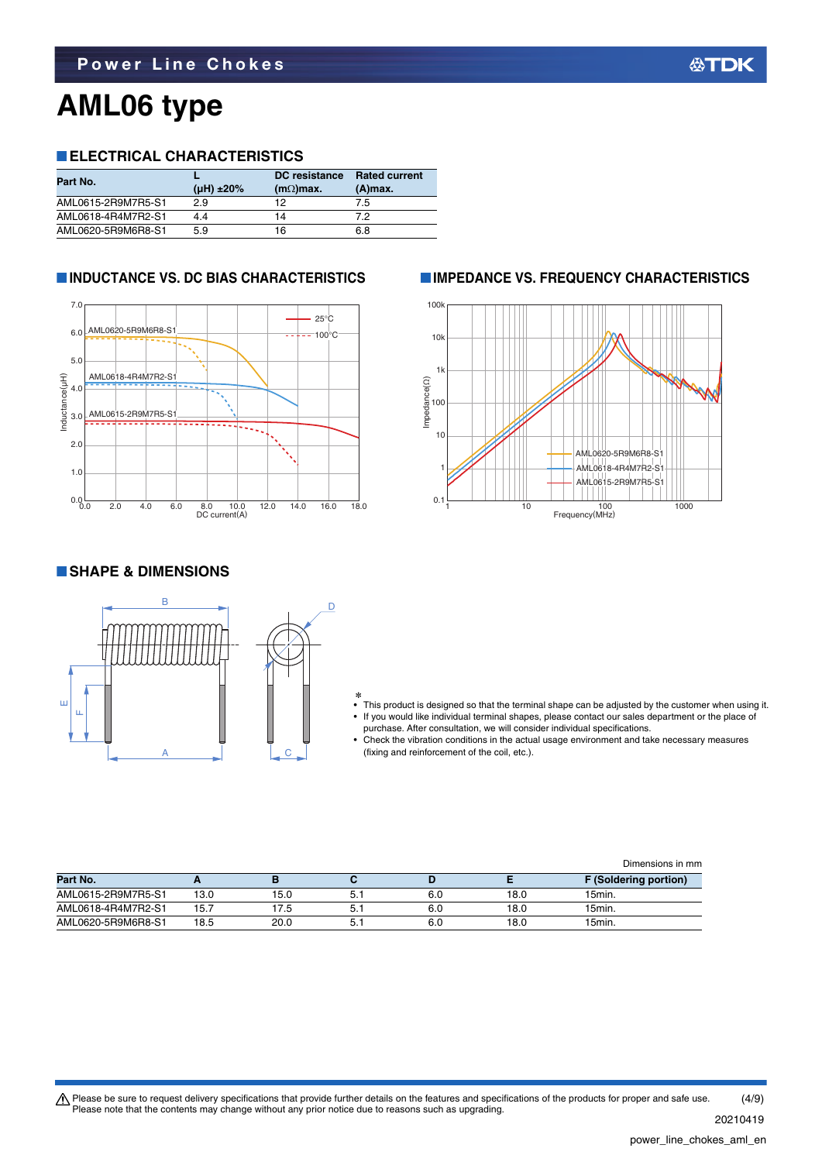# **AML06 type**

### **ELECTRICAL CHARACTERISTICS**

| Part No.           | ( $\mu$ H) ±20% | DC resistance<br>$(m\Omega)$ max. | <b>Rated current</b><br>$(A)$ max. |
|--------------------|-----------------|-----------------------------------|------------------------------------|
| AML0615-2R9M7R5-S1 | 29              | 12                                | 7.5                                |
| AML0618-4R4M7R2-S1 | 4.4             | 14                                | 72                                 |
| AML0620-5R9M6R8-S1 | 5.9             | 16                                | 6.8                                |



### **INDUCTANCE VS. DC BIAS CHARACTERISTICS IMPEDANCE VS. FREQUENCY CHARACTERISTICS**



### **SHAPE & DIMENSIONS**



- \* • This product is designed so that the terminal shape can be adjusted by the customer when using it. • If you would like individual terminal shapes, please contact our sales department or the place of
	- purchase. After consultation, we will consider individual specifications.
- Check the vibration conditions in the actual usage environment and take necessary measures (fixing and reinforcement of the coil, etc.).

| Part No.           |      |      |    |     |      | F (Soldering portion) |
|--------------------|------|------|----|-----|------|-----------------------|
| AML0615-2R9M7R5-S1 | 13.0 | 15.0 |    | 6.C | 18.0 | 15min.                |
| AML0618-4R4M7R2-S1 | 15.7 | 7.5  | J. | 6.C | 18.0 | 15min.                |
| AML0620-5R9M6R8-S1 | 18.5 | 20.0 |    | 6.0 | 18.0 | 15min.                |

Please be sure to request delivery specifications that provide further details on the features and specifications of the products for proper and safe use.<br>Please note that the contents may change without any prior notice d (4/9)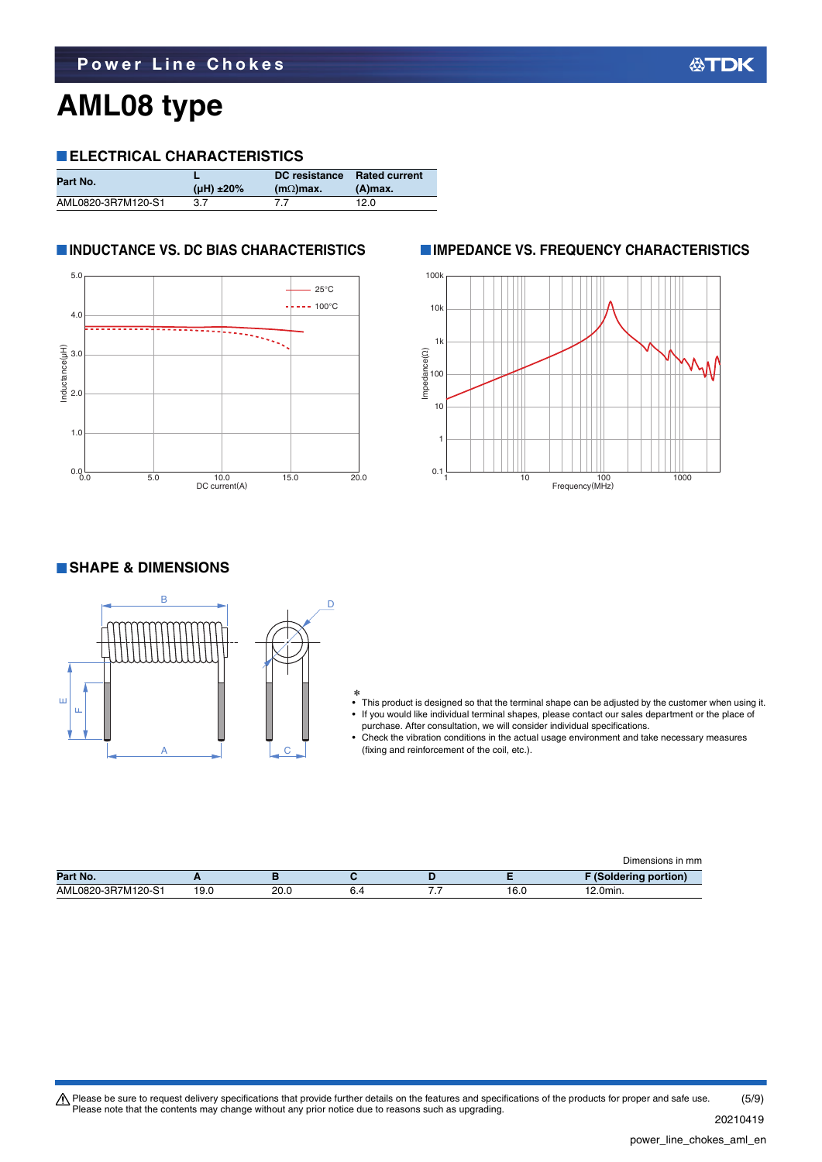## **AML08 type**

### **ELECTRICAL CHARACTERISTICS**

| Part No.           | (uH) $±20\%$ | DC resistance<br>$(m\Omega)$ max. | <b>Rated current</b><br>$(A)$ max. |
|--------------------|--------------|-----------------------------------|------------------------------------|
| AML0820-3R7M120-S1 | 3.7          |                                   | 12.0                               |



### **INDUCTANCE VS. DC BIAS CHARACTERISTICS IMPEDANCE VS. FREQUENCY CHARACTERISTICS**



### **SHAPE & DIMENSIONS**



- \* This product is designed so that the terminal shape can be adjusted by the customer when using it.
- If you would like individual terminal shapes, please contact our sales department or the place of purchase. After consultation, we will consider individual specifications.
- Check the vibration conditions in the actual usage environment and take necessary measures (fixing and reinforcement of the coil, etc.).

|                    |      |      |  |      | Dimensions in mm      |
|--------------------|------|------|--|------|-----------------------|
| Part No.           |      |      |  |      | F (Soldering portion) |
| AML0820-3R7M120-S1 | 19.0 | 20.0 |  | 16.U | $12.0$ min.           |

Please be sure to request delivery specifications that provide further details on the features and specifications of the products for proper and safe use.<br>Please note that the contents may change without any prior notice d (5/9)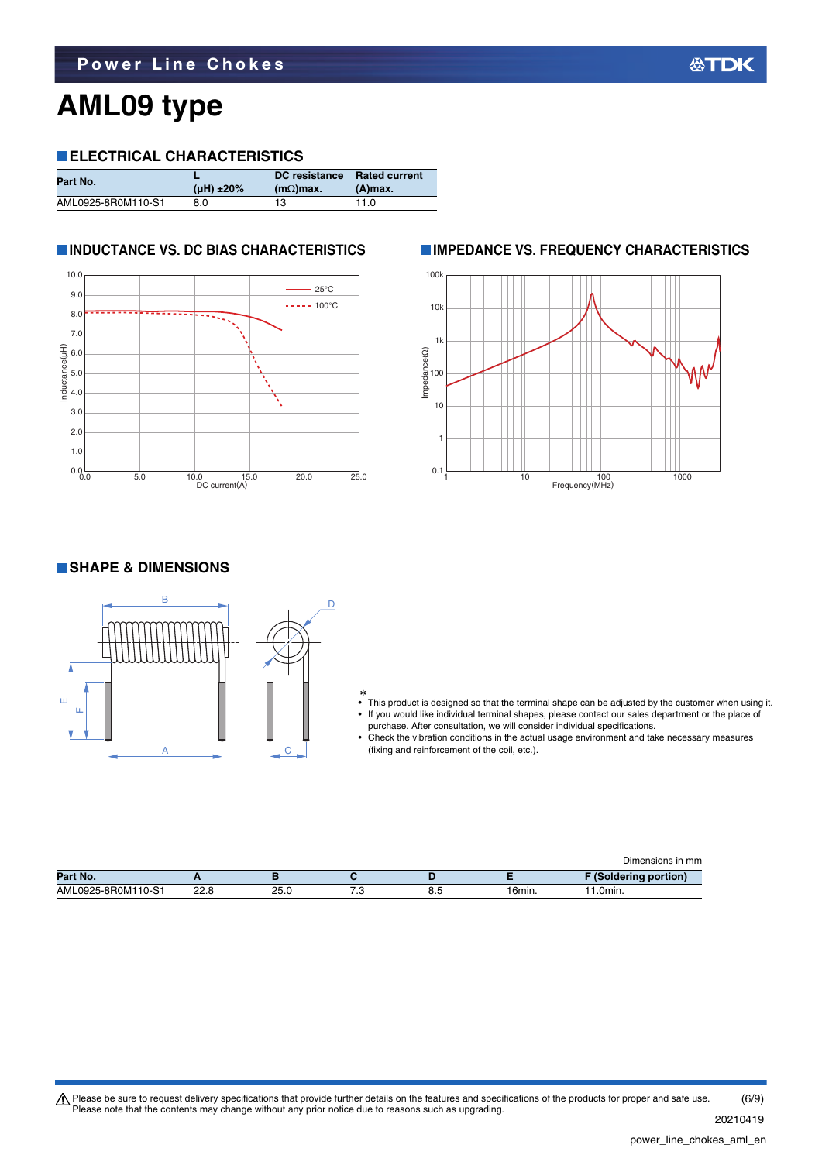## **AML09 type**

### **ELECTRICAL CHARACTERISTICS**

| Part No.           | ( $\mu$ H) ±20% | DC resistance<br>$(m\Omega)$ max. | <b>Rated current</b><br>$(A)$ max. |
|--------------------|-----------------|-----------------------------------|------------------------------------|
| AML0925-8R0M110-S1 | 8.0             | 13                                | 11.0                               |



### **INDUCTANCE VS. DC BIAS CHARACTERISTICS IMPEDANCE VS. FREQUENCY CHARACTERISTICS**



### **SHAPE & DIMENSIONS**



- \* This product is designed so that the terminal shape can be adjusted by the customer when using it. • If you would like individual terminal shapes, please contact our sales department or the place of
- purchase. After consultation, we will consider individual specifications.
- Check the vibration conditions in the actual usage environment and take necessary measures (fixing and reinforcement of the coil, etc.).

|                    |      |      |       |     |        | Dimensions in mm      |
|--------------------|------|------|-------|-----|--------|-----------------------|
| Part No.           |      |      |       |     |        | F (Soldering portion) |
| AML0925-8R0M110-S1 | 22.8 | 25.0 | . . ب | ∪.∪ | 16min. | .0min.                |

Please be sure to request delivery specifications that provide further details on the features and specifications of the products for proper and safe use.<br>Please note that the contents may change without any prior notice d 20210419 (6/9)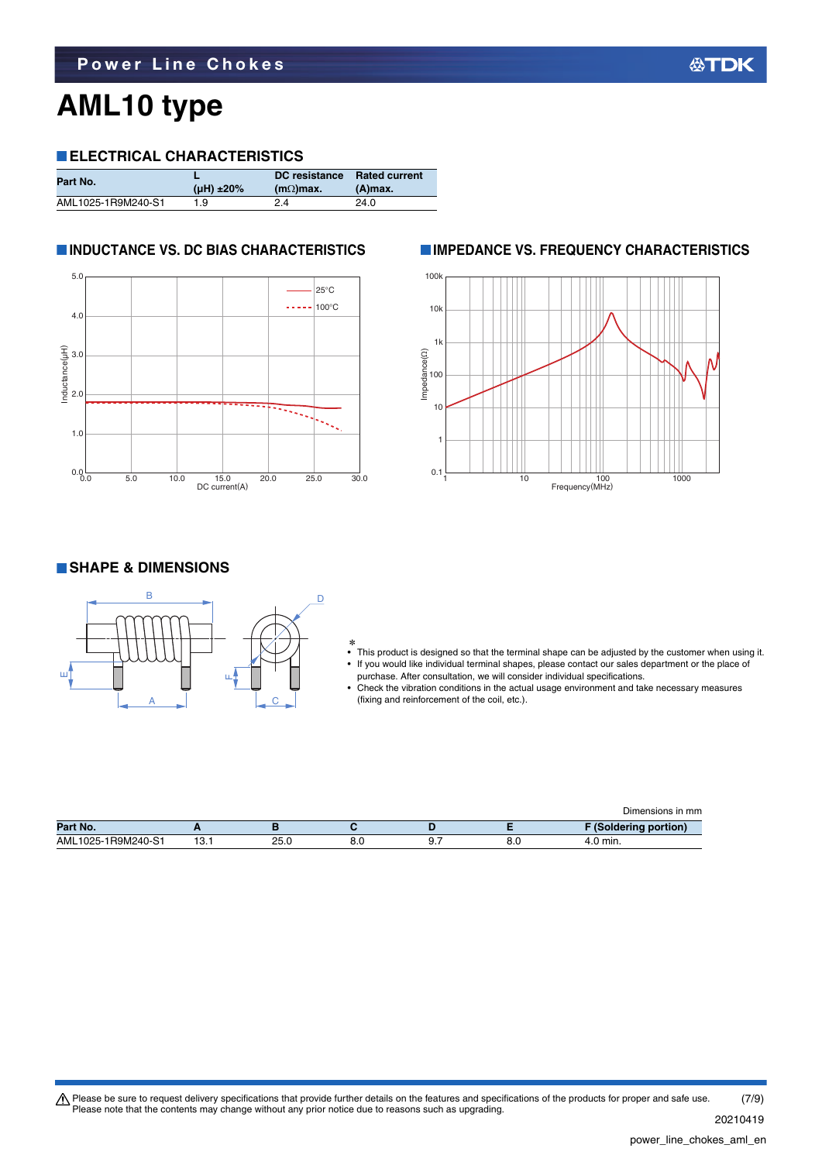# **AML10 type**

### **ELECTRICAL CHARACTERISTICS**

| Part No.           | (uH) $±20\%$ | <b>DC</b> resistance<br>$(m\Omega)$ max. | <b>Rated current</b><br>$(A)$ max. |
|--------------------|--------------|------------------------------------------|------------------------------------|
| AML1025-1R9M240-S1 | 1.9          | 2.4                                      | 24.0                               |



### **INDUCTANCE VS. DC BIAS CHARACTERISTICS IMPEDANCE VS. FREQUENCY CHARACTERISTICS**



### **SHAPE & DIMENSIONS**



- \* This product is designed so that the terminal shape can be adjusted by the customer when using it. • If you would like individual terminal shapes, please contact our sales department or the place of
- purchase. After consultation, we will consider individual specifications.
- Check the vibration conditions in the actual usage environment and take necessary measures (fixing and reinforcement of the coil, etc.).

|                    |          |      |     |  | Dimensions in mm             |
|--------------------|----------|------|-----|--|------------------------------|
| Part No.           |          |      |     |  | <b>F</b> (Soldering portion) |
| AML1025-1R9M240-S1 | 12<br>.ت | 25.0 | 8.O |  | $\eta$ min.                  |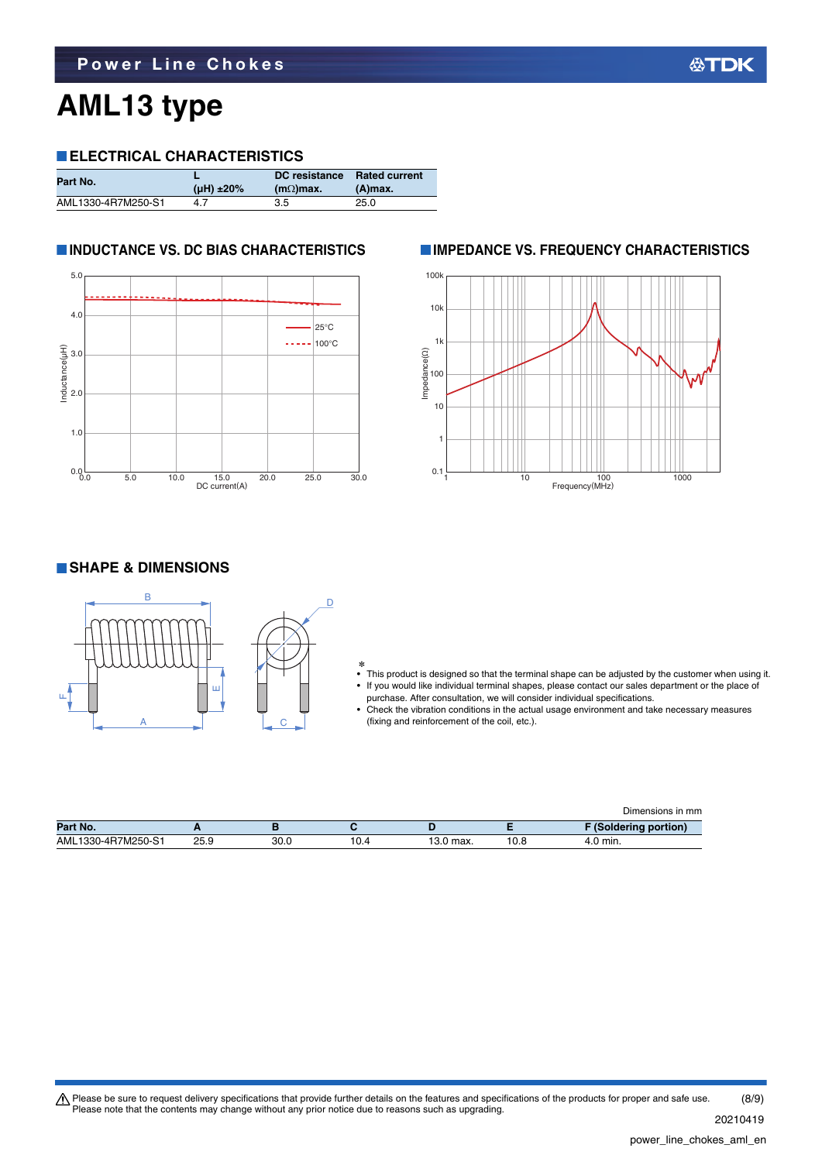# **AML13 type**

### **ELECTRICAL CHARACTERISTICS**

| Part No.           | (uH) $±20\%$ | DC resistance<br>$(m\Omega)$ max. | <b>Rated current</b><br>$(A)$ max. |
|--------------------|--------------|-----------------------------------|------------------------------------|
| AML1330-4R7M250-S1 | 4.7          | 3.5                               | 25.0                               |



### **INDUCTANCE VS. DC BIAS CHARACTERISTICS IMPEDANCE VS. FREQUENCY CHARACTERISTICS**



### **SHAPE & DIMENSIONS**



- \* This product is designed so that the terminal shape can be adjusted by the customer when using it. • If you would like individual terminal shapes, please contact our sales department or the place of
- purchase. After consultation, we will consider individual specifications. • Check the vibration conditions in the actual usage environment and take necessary measures (fixing and reinforcement of the coil, etc.).

|                    |      |      |      |        |      | Dimensions in mm             |
|--------------------|------|------|------|--------|------|------------------------------|
| Part No.           |      |      |      |        |      | <b>F</b> (Soldering portion) |
| AML1330-4R7M250-S1 | 25.9 | 30.0 | 10.4 | max. ו | 10.8 | .0 min.                      |

Please be sure to request delivery specifications that provide further details on the features and specifications of the products for proper and safe use.<br>Please note that the contents may change without any prior notice d 20210419 (8/9)